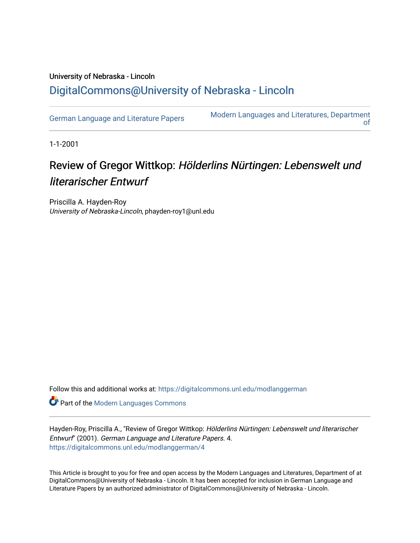## University of Nebraska - Lincoln [DigitalCommons@University of Nebraska - Lincoln](https://digitalcommons.unl.edu/)

[German Language and Literature Papers](https://digitalcommons.unl.edu/modlanggerman) Modern Languages and Literatures, Department [of](https://digitalcommons.unl.edu/modernlanguages) 

1-1-2001

## Review of Gregor Wittkop: Hölderlins Nürtingen: Lebenswelt und literarischer Entwurf

Priscilla A. Hayden-Roy University of Nebraska-Lincoln, phayden-roy1@unl.edu

Follow this and additional works at: [https://digitalcommons.unl.edu/modlanggerman](https://digitalcommons.unl.edu/modlanggerman?utm_source=digitalcommons.unl.edu%2Fmodlanggerman%2F4&utm_medium=PDF&utm_campaign=PDFCoverPages) 

Part of the [Modern Languages Commons](http://network.bepress.com/hgg/discipline/1130?utm_source=digitalcommons.unl.edu%2Fmodlanggerman%2F4&utm_medium=PDF&utm_campaign=PDFCoverPages) 

Hayden-Roy, Priscilla A., "Review of Gregor Wittkop: Hölderlins Nürtingen: Lebenswelt und literarischer Entwurf" (2001). German Language and Literature Papers. 4. [https://digitalcommons.unl.edu/modlanggerman/4](https://digitalcommons.unl.edu/modlanggerman/4?utm_source=digitalcommons.unl.edu%2Fmodlanggerman%2F4&utm_medium=PDF&utm_campaign=PDFCoverPages) 

This Article is brought to you for free and open access by the Modern Languages and Literatures, Department of at DigitalCommons@University of Nebraska - Lincoln. It has been accepted for inclusion in German Language and Literature Papers by an authorized administrator of DigitalCommons@University of Nebraska - Lincoln.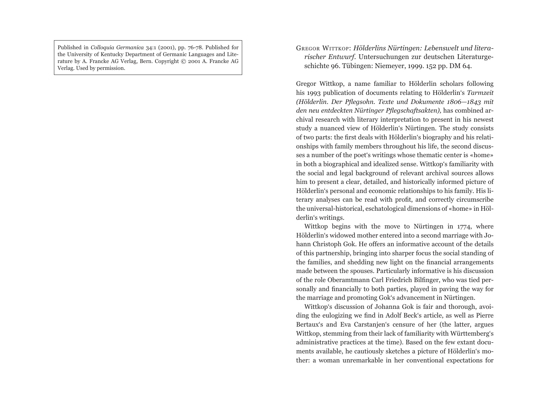Published in *Colloquia Germanica* 34:1 (2001), pp. 76-78. Published for the University of Kentucky Department of Germanic Languages and Literature by A. Francke AG Verlag, Bern. Copyright © 2001 A. Francke AG Verlag. Used by permission.

## GREGOR WITTKOP: *Hölderlins Nürtingen: Lebenswelt und litera*rischer Entwurf. Untersuchungen zur deutschen Literaturgeschichte 96. Tübingen: Niemeyer, 1999. 152 pp. DM 64.

Gregor Wittkop, a name familiar to Hölderlin scholars following his 1993 publication of documents relating to Hölderlin's *Tarmzeit (Hölderlin. Der Pflegsohn. Texte und Dokumente 1806–1843 mit* den neu entdeckten Nürtinger Pflegschaftsakten), has combined archival research with literary interpretation to present in his newest study a nuanced view of Hölderlin's Nürtingen. The study consists of two parts: the first deals with Hölderlin's biography and his relationships with family members throughout his life, the second discusses a number of the poet's writings whose thematic center is «home» in both a biographical and idealized sense. Wittkop's familiarity with the social and legal background of relevant archival sources allows him to present a clear, detailed, and historically informed picture of Hölderlin's personal and economic relationships to his family. His literary analyses can be read with profit, and correctly circumscribe the universal-historical, eschatological dimensions of «home» in Hölderlin's writings.

Wittkop begins with the move to Nürtingen in 1774, where Hölderlin's widowed mother entered into a second marriage with Johann Christoph Gok. He offers an informative account of the details of this partnership, bringing into sharper focus the social standing of the families, and shedding new light on the financial arrangements made between the spouses. Particularly informative is his discussion of the role Oberamtmann Carl Friedrich Bilfinger, who was tied personally and financially to both parties, played in paving the way for the marriage and promoting Gok's advancement in Nürtingen.

Wittkop's discussion of Johanna Gok is fair and thorough, avoiding the eulogizing we find in Adolf Beck's article, as well as Pierre Bertaux's and Eva Carstanjen's censure of her (the latter, argues Wittkop, stemming from their lack of familiarity with Württemberg's administrative practices at the time). Based on the few extant documents available, he cautiously sketches a picture of Hölderlin's mother: a woman unremarkable in her conventional expectations for